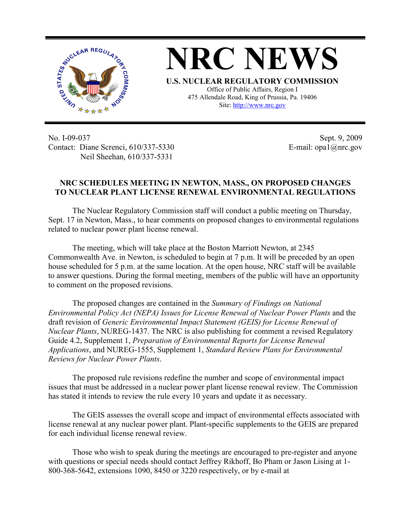

**NRC NEWS U.S. NUCLEAR REGULATORY COMMISSION** Office of Public Affairs, Region I 475 Allendale Road, King of Prussia, Pa. 19406

Site: http://www.nrc.gov

No. I-09-037 Contact: Diane Screnci, 610/337-5330 Neil Sheehan, 610/337-5331

Sept. 9, 2009 E-mail: opa1@nrc.gov

## **NRC SCHEDULES MEETING IN NEWTON, MASS., ON PROPOSED CHANGES TO NUCLEAR PLANT LICENSE RENEWAL ENVIRONMENTAL REGULATIONS**

The Nuclear Regulatory Commission staff will conduct a public meeting on Thursday, Sept. 17 in Newton, Mass., to hear comments on proposed changes to environmental regulations related to nuclear power plant license renewal.

The meeting, which will take place at the Boston Marriott Newton, at 2345 Commonwealth Ave. in Newton, is scheduled to begin at 7 p.m. It will be preceded by an open house scheduled for 5 p.m. at the same location. At the open house, NRC staff will be available to answer questions. During the formal meeting, members of the public will have an opportunity to comment on the proposed revisions.

The proposed changes are contained in the *Summary of Findings on National Environmental Policy Act (NEPA) Issues for License Renewal of Nuclear Power Plants* and the draft revision of *Generic Environmental Impact Statement (GEIS) for License Renewal of Nuclear Plants*, NUREG-1437. The NRC is also publishing for comment a revised Regulatory Guide 4.2, Supplement 1, *Preparation of Environmental Reports for License Renewal Applications*, and NUREG-1555, Supplement 1, *Standard Review Plans for Environmental Reviews for Nuclear Power Plants*.

The proposed rule revisions redefine the number and scope of environmental impact issues that must be addressed in a nuclear power plant license renewal review. The Commission has stated it intends to review the rule every 10 years and update it as necessary.

The GEIS assesses the overall scope and impact of environmental effects associated with license renewal at any nuclear power plant. Plant-specific supplements to the GEIS are prepared for each individual license renewal review.

Those who wish to speak during the meetings are encouraged to pre-register and anyone with questions or special needs should contact Jeffrey Rikhoff, Bo Pham or Jason Lising at 1- 800-368-5642, extensions 1090, 8450 or 3220 respectively, or by e-mail at